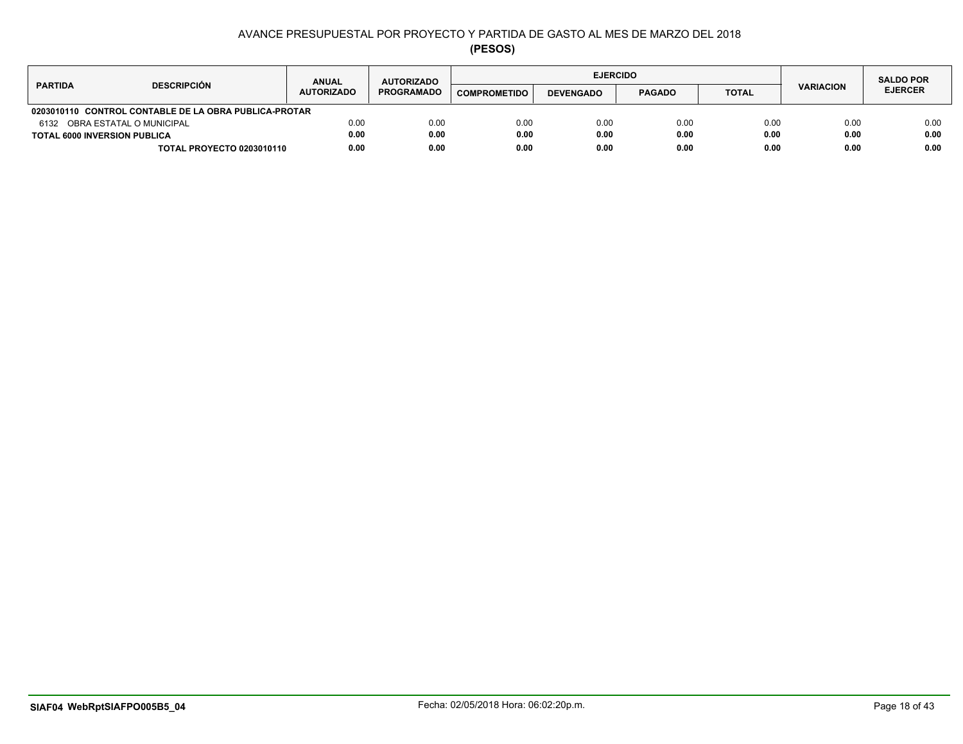| <b>DESCRIPCIÓN</b><br><b>PARTIDA</b>                  |                                  | <b>ANUAL</b>      | <b>AUTORIZADO</b> |                     |                  | <b>EJERCIDO</b> |              |                  | <b>SALDO POR</b> |
|-------------------------------------------------------|----------------------------------|-------------------|-------------------|---------------------|------------------|-----------------|--------------|------------------|------------------|
|                                                       |                                  | <b>AUTORIZADO</b> | <b>PROGRAMADO</b> | <b>COMPROMETIDO</b> | <b>DEVENGADO</b> | <b>PAGADO</b>   | <b>TOTAL</b> | <b>VARIACION</b> | <b>EJERCER</b>   |
| 0203010110 CONTROL CONTABLE DE LA OBRA PUBLICA-PROTAR |                                  |                   |                   |                     |                  |                 |              |                  |                  |
| 6132 OBRA ESTATAL O MUNICIPAL                         |                                  | 0.00              | 0.00              | 0.00                | 0.00             | 0.00            | 0.00         | 0.00             | 0.00             |
| <b>TOTAL 6000 INVERSION PUBLICA</b>                   |                                  | 0.00              | 0.00              | 0.00                | 0.00             | 0.00            | 0.00         | 0.00             | 0.00             |
|                                                       | <b>TOTAL PROYECTO 0203010110</b> | 0.00              | 0.00              | 0.00                | 0.00             | 0.00            | 0.00         | 0.00             | 0.00             |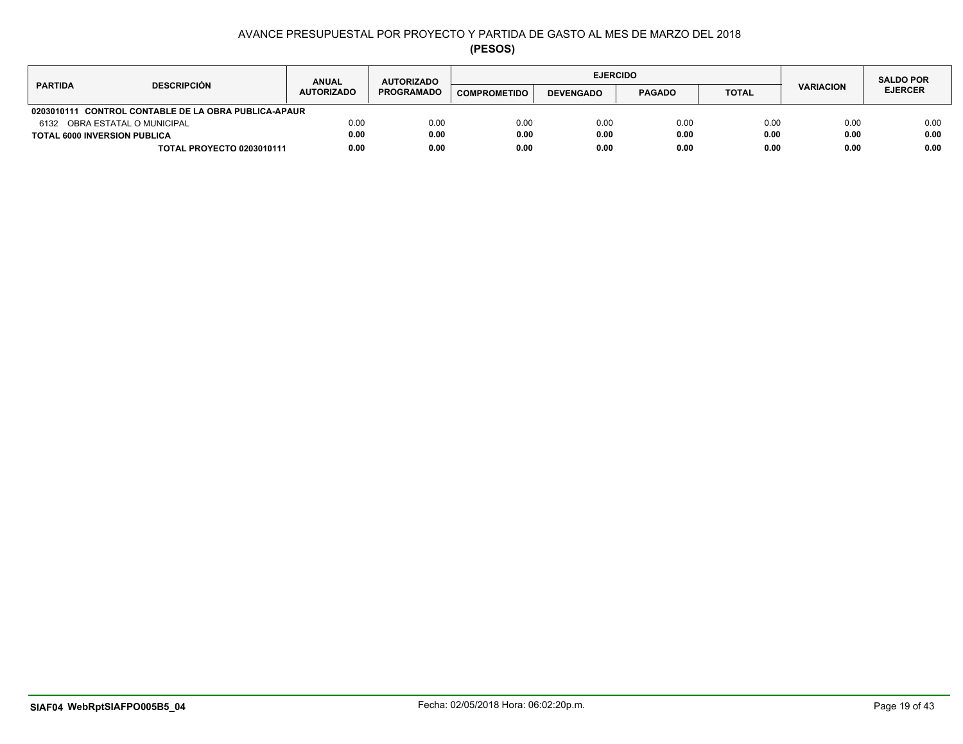| <b>DESCRIPCIÓN</b><br><b>PARTIDA</b>                           | <b>ANUAL</b>      | <b>AUTORIZADO</b> |                     | <b>EJERCIDO</b>  |               |              |                  | <b>SALDO POR</b> |
|----------------------------------------------------------------|-------------------|-------------------|---------------------|------------------|---------------|--------------|------------------|------------------|
|                                                                | <b>AUTORIZADO</b> | <b>PROGRAMADO</b> | <b>COMPROMETIDO</b> | <b>DEVENGADO</b> | <b>PAGADO</b> | <b>TOTAL</b> | <b>VARIACION</b> | <b>EJERCER</b>   |
| <b>CONTROL CONTABLE DE LA OBRA PUBLICA-APAUR</b><br>0203010111 |                   |                   |                     |                  |               |              |                  |                  |
| 6132 OBRA ESTATAL O MUNICIPAL                                  | 0.00              | 0.00              | 0.00                | 0.00             | 0.00          | 0.00         | 0.00             | 0.00             |
| <b>TOTAL 6000 INVERSION PUBLICA</b>                            | 0.00              | 0.00              | 0.00                | 0.00             | 0.00          | 0.00         | 0.00             | 0.00             |
| <b>TOTAL PROYECTO 0203010111</b>                               | 0.00              | 0.00              | 0.00                | 0.00             | 0.00          | 0.00         | 0.00             | 0.00             |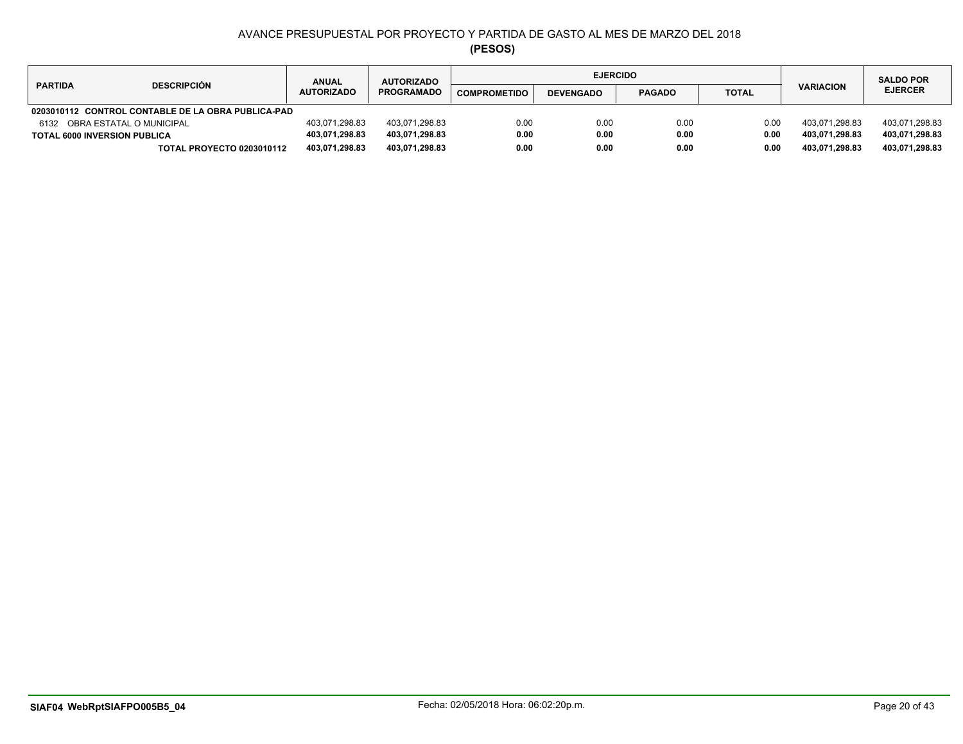| <b>DESCRIPCIÓN</b><br><b>PARTIDA</b>               |                                  | <b>ANUAL</b>      | <b>AUTORIZADO</b> |                     | <b>EJERCIDO</b>  |               | <b>SALDO POR</b> |                  |                |
|----------------------------------------------------|----------------------------------|-------------------|-------------------|---------------------|------------------|---------------|------------------|------------------|----------------|
|                                                    |                                  | <b>AUTORIZADO</b> | <b>PROGRAMADO</b> | <b>COMPROMETIDO</b> | <b>DEVENGADO</b> | <b>PAGADO</b> | <b>TOTAL</b>     | <b>VARIACION</b> | <b>EJERCER</b> |
| 0203010112 CONTROL CONTABLE DE LA OBRA PUBLICA-PAD |                                  |                   |                   |                     |                  |               |                  |                  |                |
| 6132 OBRA ESTATAL O MUNICIPAL                      |                                  | 403,071,298.83    | 403.071.298.83    | 0.00                | 0.00             | 0.00          | 0.00             | 403.071.298.83   | 403,071,298.83 |
| <b>TOTAL 6000 INVERSION PUBLICA</b>                |                                  | 403,071,298.83    | 403,071,298.83    | 0.00                | 0.00             | 0.00          | 0.00             | 403.071.298.83   | 403,071,298.83 |
|                                                    | <b>TOTAL PROYECTO 0203010112</b> | 403,071,298.83    | 403,071,298.83    | 0.00                | 0.00             | 0.00          | 0.00             | 403,071,298.83   | 403,071,298.83 |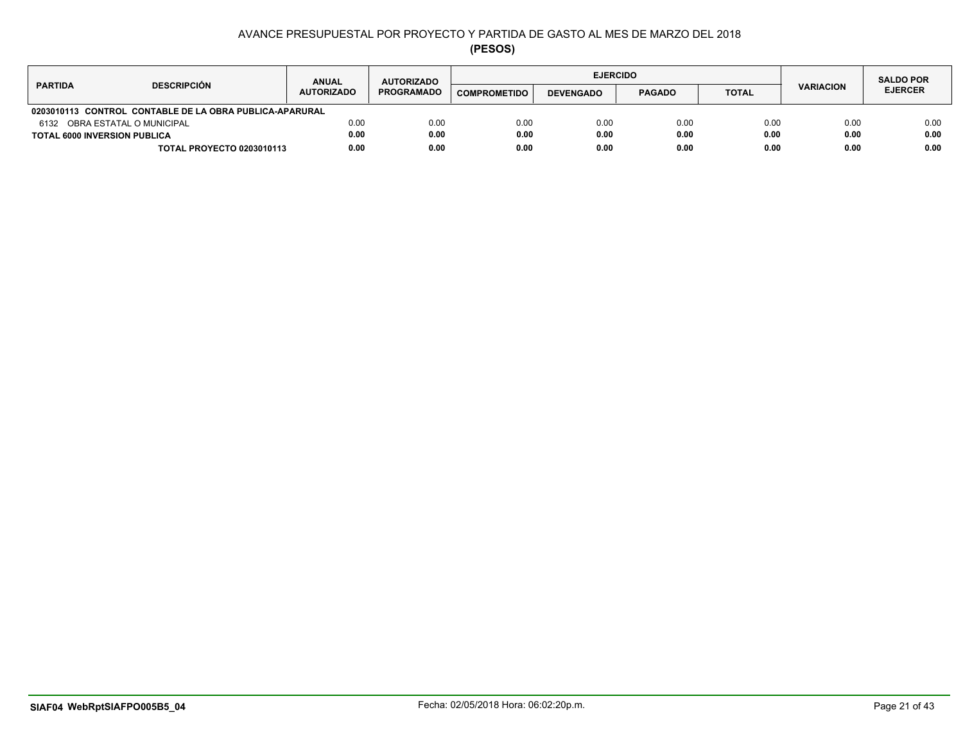|                                                         | <b>ANUAL</b>      | <b>AUTORIZADO</b> |                     | <b>EJERCIDO</b>  |               |              |                  | <b>SALDO POR</b> |
|---------------------------------------------------------|-------------------|-------------------|---------------------|------------------|---------------|--------------|------------------|------------------|
| <b>DESCRIPCIÓN</b><br><b>PARTIDA</b>                    | <b>AUTORIZADO</b> | <b>PROGRAMADO</b> | <b>COMPROMETIDO</b> | <b>DEVENGADO</b> | <b>PAGADO</b> | <b>TOTAL</b> | <b>VARIACION</b> | <b>EJERCER</b>   |
| 0203010113 CONTROL CONTABLE DE LA OBRA PUBLICA-APARURAL |                   |                   |                     |                  |               |              |                  |                  |
| 6132 OBRA ESTATAL O MUNICIPAL                           | 0.00              | 0.00              | 0.00                | 0.00             | 0.00          | 0.00         | 0.00             | 0.00             |
| <b>TOTAL 6000 INVERSION PUBLICA</b>                     | 0.00              | 0.00              | 0.00                | 0.00             | 0.00          | 0.00         | 0.00             | 0.00             |
| <b>TOTAL PROYECTO 0203010113</b>                        | 0.00              | 0.00              | 0.00                | 0.00             | 0.00          | 0.00         | 0.00             | 0.00             |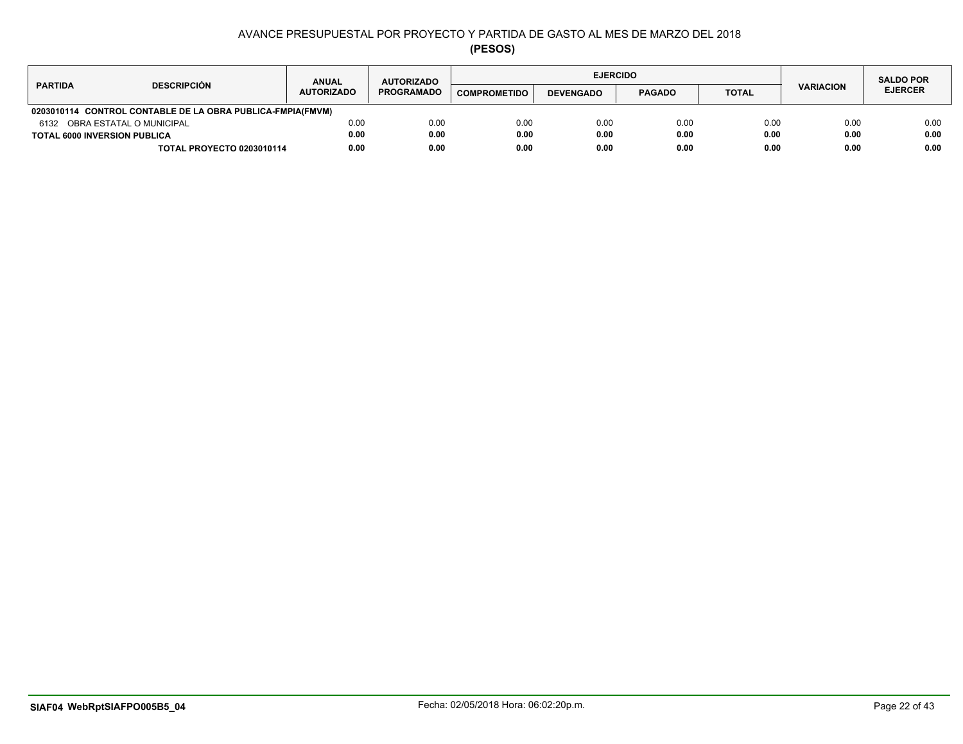| <b>DESCRIPCIÓN</b><br><b>PARTIDA</b>                       |                                  | <b>ANUAL</b>      | <b>AUTORIZADO</b> |                     |                  | <b>EJERCIDO</b> |              |                  | <b>SALDO POR</b> |
|------------------------------------------------------------|----------------------------------|-------------------|-------------------|---------------------|------------------|-----------------|--------------|------------------|------------------|
|                                                            |                                  | <b>AUTORIZADO</b> | <b>PROGRAMADO</b> | <b>COMPROMETIDO</b> | <b>DEVENGADO</b> | <b>PAGADO</b>   | <b>TOTAL</b> | <b>VARIACION</b> | <b>EJERCER</b>   |
| 0203010114 CONTROL CONTABLE DE LA OBRA PUBLICA-FMPIA(FMVM) |                                  |                   |                   |                     |                  |                 |              |                  |                  |
| 6132 OBRA ESTATAL O MUNICIPAL                              |                                  | 0.00              | 0.00              | 0.00                | 0.00             | 0.00            | 0.00         | 0.00             | 0.00             |
| <b>TOTAL 6000 INVERSION PUBLICA</b>                        |                                  | 0.00              | 0.00              | 0.00                | 0.00             | 0.00            | 0.00         | 0.00             | 0.00             |
|                                                            | <b>TOTAL PROYECTO 0203010114</b> | 0.00              | 0.00              | 0.00                | 0.00             | 0.00            | 0.00         | 0.00             | 0.00             |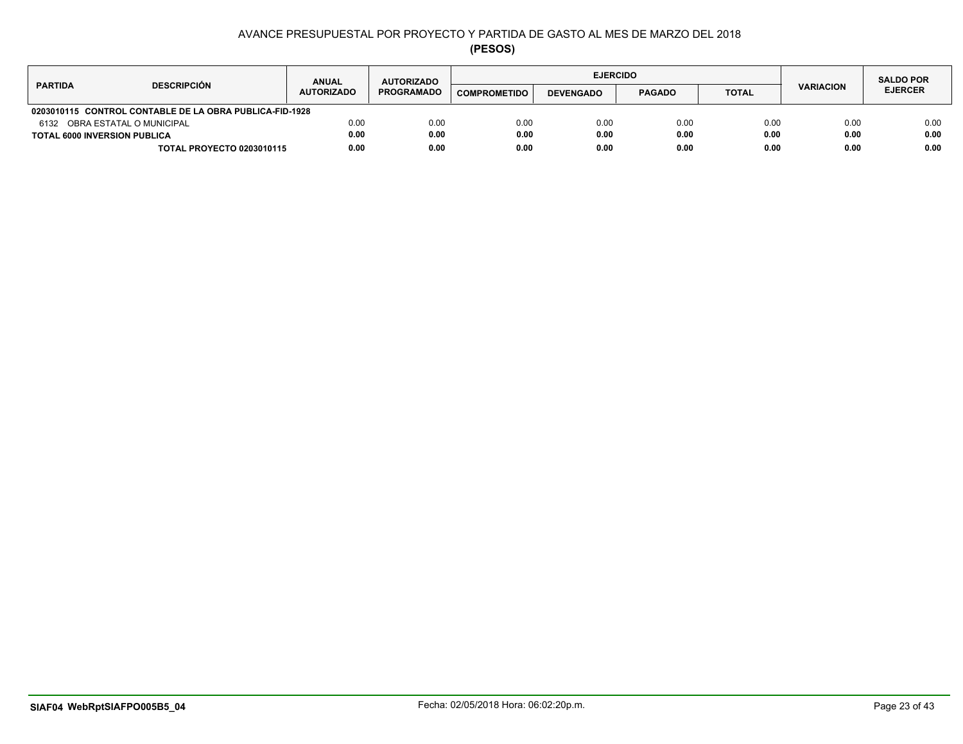| <b>DESCRIPCIÓN</b><br><b>PARTIDA</b>                    |                                  | <b>ANUAL</b>      | <b>AUTORIZADO</b> |                     | <b>EJERCIDO</b>  |               |              |                  | <b>SALDO POR</b> |
|---------------------------------------------------------|----------------------------------|-------------------|-------------------|---------------------|------------------|---------------|--------------|------------------|------------------|
|                                                         |                                  | <b>AUTORIZADO</b> | <b>PROGRAMADO</b> | <b>COMPROMETIDO</b> | <b>DEVENGADO</b> | <b>PAGADO</b> | <b>TOTAL</b> | <b>VARIACION</b> | <b>EJERCER</b>   |
| 0203010115 CONTROL CONTABLE DE LA OBRA PUBLICA-FID-1928 |                                  |                   |                   |                     |                  |               |              |                  |                  |
| 6132 OBRA ESTATAL O MUNICIPAL                           |                                  | 0.00              | 0.00              | 0.00                | 0.00             | 0.00          | 0.00         | 0.00             | 0.00             |
| <b>TOTAL 6000 INVERSION PUBLICA</b>                     |                                  | 0.00              | 0.00              | 0.00                | 0.00             | 0.00          | 0.00         | 0.00             | 0.00             |
|                                                         | <b>TOTAL PROYECTO 0203010115</b> | 0.00              | 0.00              | 0.00                | 0.00             | 0.00          | 0.00         | 0.00             | 0.00             |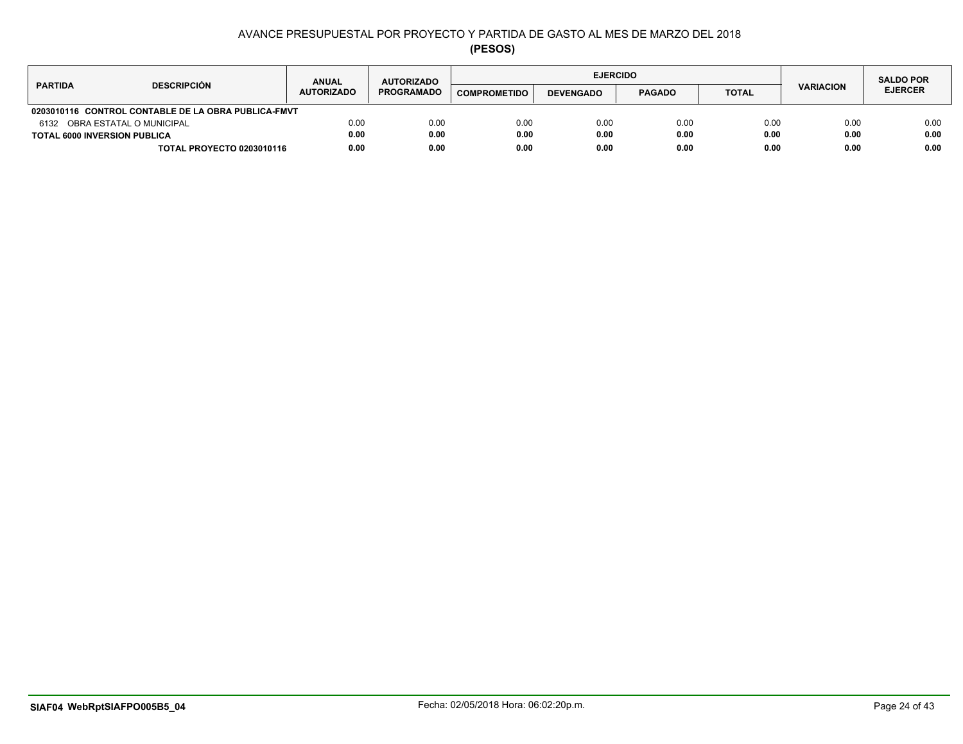|                                                     | <b>ANUAL</b>      | <b>AUTORIZADO</b> |                     | <b>EJERCIDO</b>  |               |              |                  | <b>SALDO POR</b> |
|-----------------------------------------------------|-------------------|-------------------|---------------------|------------------|---------------|--------------|------------------|------------------|
| <b>DESCRIPCIÓN</b><br><b>PARTIDA</b>                | <b>AUTORIZADO</b> | <b>PROGRAMADO</b> | <b>COMPROMETIDO</b> | <b>DEVENGADO</b> | <b>PAGADO</b> | <b>TOTAL</b> | <b>VARIACION</b> | <b>EJERCER</b>   |
| 0203010116 CONTROL CONTABLE DE LA OBRA PUBLICA-FMVT |                   |                   |                     |                  |               |              |                  |                  |
| 6132 OBRA ESTATAL O MUNICIPAL                       | 0.00              | 0.00              | 0.00                | 0.00             | 0.00          | 0.00         | 0.00             | 0.00             |
| <b>TOTAL 6000 INVERSION PUBLICA</b>                 | 0.00              | 0.00              | 0.00                | 0.00             | 0.00          | 0.00         | 0.00             | 0.00             |
| <b>TOTAL PROYECTO 0203010116</b>                    | 0.00              | 0.00              | 0.00                | 0.00             | 0.00          | 0.00         | 0.00             | 0.00             |